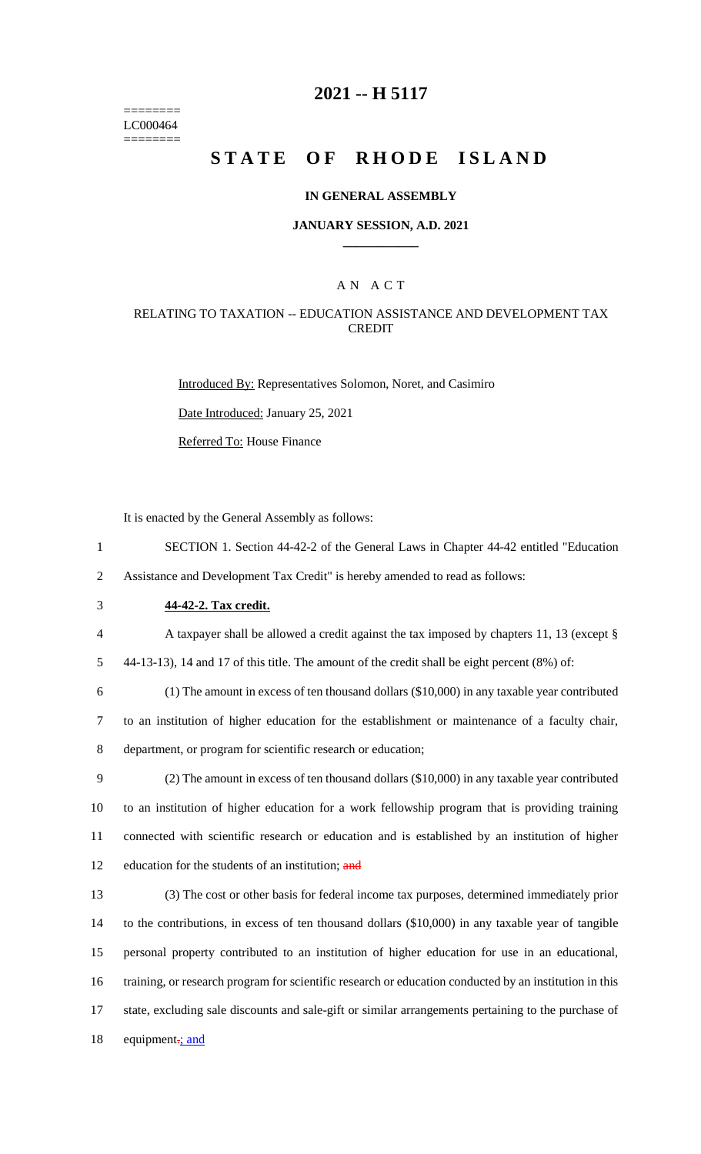======== LC000464 ========

### **2021 -- H 5117**

# **STATE OF RHODE ISLAND**

#### **IN GENERAL ASSEMBLY**

#### **JANUARY SESSION, A.D. 2021 \_\_\_\_\_\_\_\_\_\_\_\_**

### A N A C T

### RELATING TO TAXATION -- EDUCATION ASSISTANCE AND DEVELOPMENT TAX CREDIT

Introduced By: Representatives Solomon, Noret, and Casimiro

Date Introduced: January 25, 2021

Referred To: House Finance

It is enacted by the General Assembly as follows:

- 1 SECTION 1. Section 44-42-2 of the General Laws in Chapter 44-42 entitled "Education 2 Assistance and Development Tax Credit" is hereby amended to read as follows:
- 3 **44-42-2. Tax credit.**
- 4 A taxpayer shall be allowed a credit against the tax imposed by chapters 11, 13 (except §

5 44-13-13), 14 and 17 of this title. The amount of the credit shall be eight percent (8%) of:

6 (1) The amount in excess of ten thousand dollars (\$10,000) in any taxable year contributed 7 to an institution of higher education for the establishment or maintenance of a faculty chair, 8 department, or program for scientific research or education;

 (2) The amount in excess of ten thousand dollars (\$10,000) in any taxable year contributed to an institution of higher education for a work fellowship program that is providing training connected with scientific research or education and is established by an institution of higher 12 education for the students of an institution; and

 (3) The cost or other basis for federal income tax purposes, determined immediately prior to the contributions, in excess of ten thousand dollars (\$10,000) in any taxable year of tangible personal property contributed to an institution of higher education for use in an educational, training, or research program for scientific research or education conducted by an institution in this state, excluding sale discounts and sale-gift or similar arrangements pertaining to the purchase of 18 equipment<sub>:</sub> and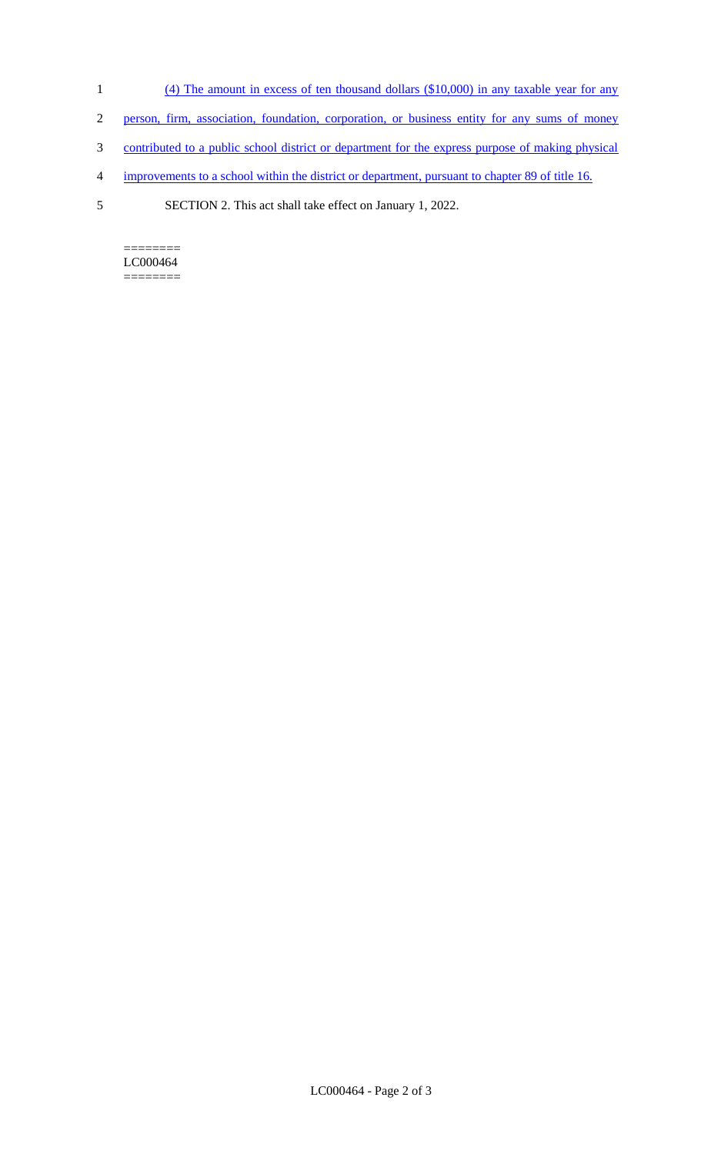- 1 (4) The amount in excess of ten thousand dollars (\$10,000) in any taxable year for any
- 2 person, firm, association, foundation, corporation, or business entity for any sums of money
- 3 contributed to a public school district or department for the express purpose of making physical
- 4 improvements to a school within the district or department, pursuant to chapter 89 of title 16.
- 5 SECTION 2. This act shall take effect on January 1, 2022.

 $=$ LC000464  $=$